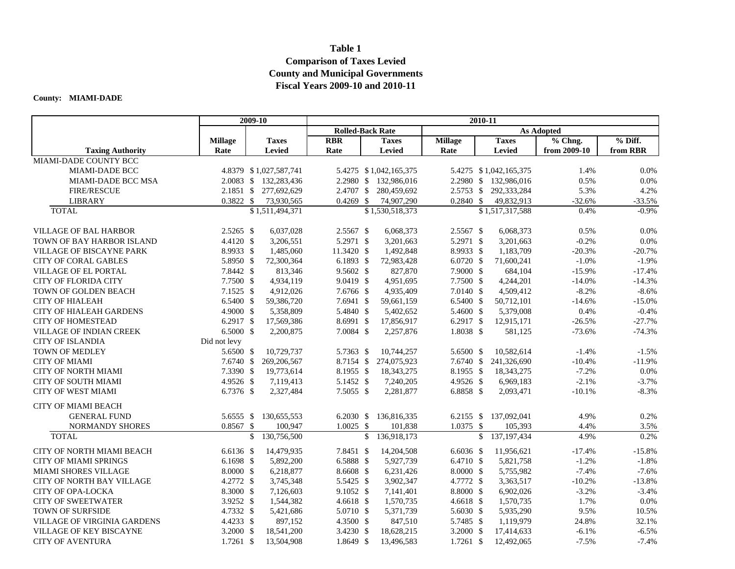## **Table 1 Comparison of Taxes Levied County and Municipal Governments Fiscal Years 2009-10 and 2010-11**

## **County: MIAMI-DADE**

|                                    |                   | 2009-10                |               |                         | 2010-11 |                        |                |               |                        |              |          |  |  |  |
|------------------------------------|-------------------|------------------------|---------------|-------------------------|---------|------------------------|----------------|---------------|------------------------|--------------|----------|--|--|--|
|                                    |                   |                        |               | <b>Rolled-Back Rate</b> |         |                        |                |               |                        |              |          |  |  |  |
|                                    | <b>Millage</b>    | <b>Taxes</b>           |               | <b>RBR</b>              |         | <b>Taxes</b>           | <b>Millage</b> |               | <b>Taxes</b>           | % Chng.      | % Diff.  |  |  |  |
| <b>Taxing Authority</b>            | Rate              | <b>Levied</b>          |               | Rate                    |         | <b>Levied</b>          | Rate           |               | Levied                 | from 2009-10 | from RBR |  |  |  |
| MIAMI-DADE COUNTY BCC              |                   |                        |               |                         |         |                        |                |               |                        |              |          |  |  |  |
| <b>MIAMI-DADE BCC</b>              |                   | 4.8379 \$1,027,587,741 |               |                         |         | 5.4275 \$1,042,165,375 |                |               | 5.4275 \$1,042,165,375 | 1.4%         | 0.0%     |  |  |  |
| <b>MIAMI-DADE BCC MSA</b>          |                   | 2.0083 \$ 132,283,436  |               |                         |         | 2.2980 \$ 132,986,016  |                |               | 2.2980 \$ 132,986,016  | 0.5%         | 0.0%     |  |  |  |
| <b>FIRE/RESCUE</b>                 |                   | 2.1851 \$ 277,692,629  |               | 2.4707 \$               |         | 280,459,692            | $2.5753$ \$    |               | 292,333,284            | 5.3%         | 4.2%     |  |  |  |
| <b>LIBRARY</b>                     | $0.3822$ \$       |                        | 73,930,565    | $0.4269$ \$             |         | 74,907,290             | $0.2840$ \$    |               | 49,832,913             | $-32.6%$     | $-33.5%$ |  |  |  |
| <b>TOTAL</b>                       |                   | \$1,511,494,371        |               |                         |         | \$1,530,518,373        |                |               | \$1,517,317,588        | 0.4%         | $-0.9%$  |  |  |  |
| <b>VILLAGE OF BAL HARBOR</b>       | $2.5265$ \$       |                        | 6,037,028     | 2.5567 \$               |         | 6,068,373              | 2.5567 \$      |               | 6,068,373              | 0.5%         | 0.0%     |  |  |  |
| TOWN OF BAY HARBOR ISLAND          | 4.4120 \$         |                        | 3,206,551     | 5.2971 \$               |         | 3,201,663              | 5.2971 \$      |               | 3,201,663              | $-0.2%$      | 0.0%     |  |  |  |
| <b>VILLAGE OF BISCAYNE PARK</b>    | 8.9933 \$         |                        | 1,485,060     | 11.3420 \$              |         | 1,492,848              | 8.9933 \$      |               | 1,183,709              | $-20.3%$     | $-20.7%$ |  |  |  |
| <b>CITY OF CORAL GABLES</b>        | 5.8950 \$         |                        | 72,300,364    | 6.1893 \$               |         | 72,983,428             | $6.0720$ \$    |               | 71,600,241             | $-1.0%$      | $-1.9%$  |  |  |  |
| VILLAGE OF EL PORTAL               | 7.8442 \$         |                        | 813,346       | 9.5602 \$               |         | 827,870                | 7.9000 \$      |               | 684,104                | $-15.9%$     | $-17.4%$ |  |  |  |
| <b>CITY OF FLORIDA CITY</b>        | 7.7500 \$         |                        | 4,934,119     | 9.0419 \$               |         | 4,951,695              | 7.7500 \$      |               | 4,244,201              | $-14.0%$     | $-14.3%$ |  |  |  |
| TOWN OF GOLDEN BEACH               | $7.1525$ \$       |                        | 4,912,026     | 7.6766 \$               |         | 4,935,409              | 7.0140 \$      |               | 4,509,412              | $-8.2%$      | $-8.6%$  |  |  |  |
| <b>CITY OF HIALEAH</b>             | 6.5400 \$         |                        | 59,386,720    | 7.6941 \$               |         | 59,661,159             | 6.5400 \$      |               | 50,712,101             | $-14.6%$     | $-15.0%$ |  |  |  |
| CITY OF HIALEAH GARDENS            | 4.9000 \$         |                        | 5,358,809     | 5.4840 \$               |         | 5,402,652              | 5.4600 \$      |               | 5,379,008              | 0.4%         | $-0.4%$  |  |  |  |
| <b>CITY OF HOMESTEAD</b>           | $6.2917$ \$       |                        | 17,569,386    | 8.6991 \$               |         | 17,856,917             | 6.2917 \$      |               | 12,915,171             | $-26.5%$     | $-27.7%$ |  |  |  |
| <b>VILLAGE OF INDIAN CREEK</b>     | $6.5000$ \$       |                        | 2,200,875     | 7.0084 \$               |         | 2,257,876              | 1.8038 \$      |               | 581,125                | $-73.6%$     | $-74.3%$ |  |  |  |
| <b>CITY OF ISLANDIA</b>            | Did not levy      |                        |               |                         |         |                        |                |               |                        |              |          |  |  |  |
| <b>TOWN OF MEDLEY</b>              | 5.6500 \$         |                        | 10,729,737    | 5.7363 \$               |         | 10,744,257             | 5.6500 \$      |               | 10,582,614             | $-1.4%$      | $-1.5%$  |  |  |  |
| <b>CITY OF MIAMI</b>               | $7.6740 \text{ }$ |                        | 269, 206, 567 | 8.7154 \$               |         | 274,075,923            | $7.6740$ \$    |               | 241,326,690            | $-10.4%$     | $-11.9%$ |  |  |  |
| <b>CITY OF NORTH MIAMI</b>         | 7.3390 \$         |                        | 19,773,614    | 8.1955 \$               |         | 18,343,275             | 8.1955 \$      |               | 18,343,275             | $-7.2%$      | 0.0%     |  |  |  |
| <b>CITY OF SOUTH MIAMI</b>         | 4.9526 \$         |                        | 7,119,413     | 5.1452 \$               |         | 7,240,205              | 4.9526 \$      |               | 6,969,183              | $-2.1%$      | $-3.7%$  |  |  |  |
| <b>CITY OF WEST MIAMI</b>          | 6.7376 \$         |                        | 2,327,484     | 7.5055 \$               |         | 2,281,877              | 6.8858 \$      |               | 2,093,471              | $-10.1%$     | $-8.3%$  |  |  |  |
| <b>CITY OF MIAMI BEACH</b>         |                   |                        |               |                         |         |                        |                |               |                        |              |          |  |  |  |
| <b>GENERAL FUND</b>                | 5.6555 \$         |                        | 130,655,553   | $6.2030$ \$             |         | 136,816,335            | 6.2155 \$      |               | 137,092,041            | 4.9%         | 0.2%     |  |  |  |
| <b>NORMANDY SHORES</b>             | $0.8567$ \$       |                        | 100,947       | $1.0025$ \$             |         | 101,838                | 1.0375 \$      |               | 105,393                | 4.4%         | 3.5%     |  |  |  |
| <b>TOTAL</b>                       |                   | \$                     | 130,756,500   |                         | \$      | 136,918,173            |                | $\mathsf{\$}$ | 137, 197, 434          | 4.9%         | 0.2%     |  |  |  |
| <b>CITY OF NORTH MIAMI BEACH</b>   | $6.6136$ \$       |                        | 14,479,935    | 7.8451 \$               |         | 14,204,508             | $6.6036$ \$    |               | 11,956,621             | $-17.4%$     | $-15.8%$ |  |  |  |
| <b>CITY OF MIAMI SPRINGS</b>       | 6.1698 \$         |                        | 5,892,200     | 6.5888 \$               |         | 5,927,739              | 6.4710 \$      |               | 5,821,758              | $-1.2%$      | $-1.8%$  |  |  |  |
| MIAMI SHORES VILLAGE               | 8.0000 \$         |                        | 6,218,877     | 8.6608 \$               |         | 6,231,426              | 8.0000 \$      |               | 5,755,982              | $-7.4%$      | $-7.6%$  |  |  |  |
| CITY OF NORTH BAY VILLAGE          | 4.2772 \$         |                        | 3,745,348     | 5.5425 \$               |         | 3,902,347              | 4.7772 \$      |               | 3,363,517              | $-10.2%$     | $-13.8%$ |  |  |  |
| CITY OF OPA-LOCKA                  | 8.3000 \$         |                        | 7,126,603     | 9.1052 \$               |         | 7,141,401              | 8.8000 \$      |               | 6,902,026              | $-3.2%$      | $-3.4%$  |  |  |  |
| <b>CITY OF SWEETWATER</b>          | 3.9252 \$         |                        | 1,544,382     | 4.6618 \$               |         | 1,570,735              | 4.6618 \$      |               | 1,570,735              | 1.7%         | 0.0%     |  |  |  |
| <b>TOWN OF SURFSIDE</b>            | 4.7332 \$         |                        | 5,421,686     | 5.0710 \$               |         | 5,371,739              | 5.6030 \$      |               | 5,935,290              | 9.5%         | 10.5%    |  |  |  |
| <b>VILLAGE OF VIRGINIA GARDENS</b> | 4.4233 \$         |                        | 897,152       | 4.3500 \$               |         | 847,510                | 5.7485 \$      |               | 1,119,979              | 24.8%        | 32.1%    |  |  |  |
| <b>VILLAGE OF KEY BISCAYNE</b>     | $3.2000$ \$       |                        | 18,541,200    | 3.4230 \$               |         | 18,628,215             | 3.2000 $$$     |               | 17,414,633             | $-6.1%$      | $-6.5%$  |  |  |  |
| <b>CITY OF AVENTURA</b>            | $1.7261$ \$       |                        | 13,504,908    | 1.8649 \$               |         | 13,496,583             | $1.7261$ \$    |               | 12,492,065             | $-7.5%$      | $-7.4%$  |  |  |  |